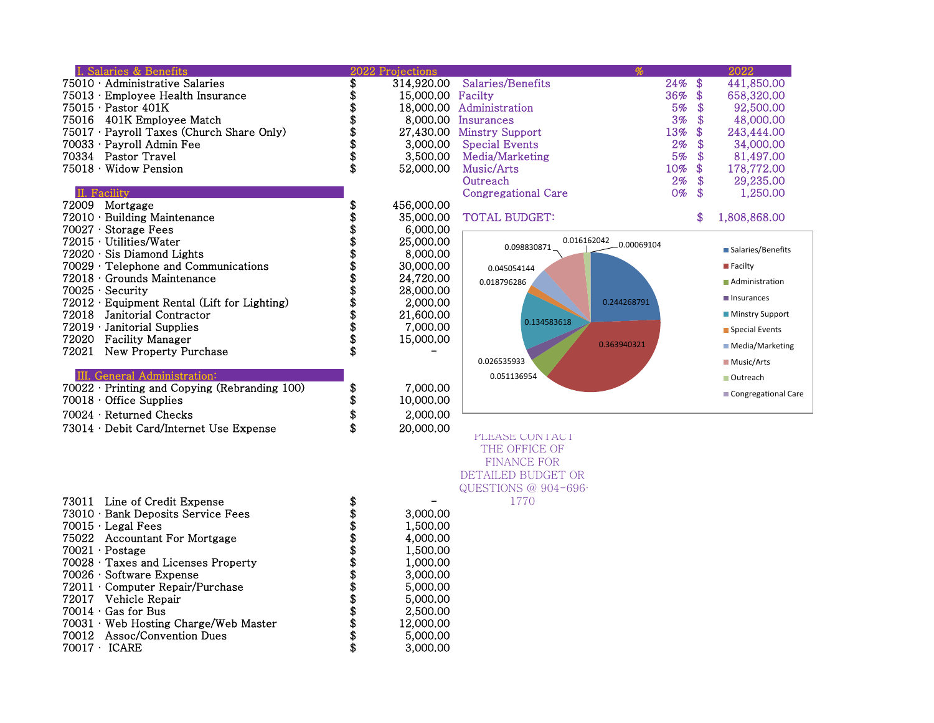|       | I. Salaries & Benefits                              | 2022 Projections  |                            |             |     | 2022                   |
|-------|-----------------------------------------------------|-------------------|----------------------------|-------------|-----|------------------------|
|       | 75010 · Administrative Salaries                     | 314,920.00        | Salaries/Benefits          | 24%         | \$  | 441,850.00             |
|       | 75013 · Employee Health Insurance                   | 15,000.00 Facilty |                            | 36%         | \$. | 658,320.00             |
|       | 75015 · Pastor 401K                                 |                   | 18,000.00 Administration   | 5%          | \$  | 92,500.00              |
|       | 75016 401K Employee Match                           |                   | 8,000.00 Insurances        | 3%          | \$  | 48,000.00              |
|       | 75017 · Payroll Taxes (Church Share Only)           |                   | 27,430.00 Minstry Support  | 13%         |     | 243,444.00             |
|       | 70033 · Payroll Admin Fee                           | 3.000.00          | <b>Special Events</b>      | 2%          | \$  | 34,000,00              |
|       | 70334 Pastor Travel                                 | \$<br>3.500.00    | Media/Marketing            | 5%          | \$  | 81,497.00              |
|       | $75018 \cdot$ Widow Pension                         | \$<br>52,000.00   | Music/Arts                 | 10%         | \$  | 178,772.00             |
|       |                                                     |                   | Outreach                   | 2%          | \$  | 29,235.00              |
|       | II. Facility                                        |                   | <b>Congregational Care</b> | $0\%$       | \$  | 1,250.00               |
|       | 72009 Mortgage                                      | \$<br>456,000.00  |                            |             |     |                        |
|       | $72010 \cdot$ Building Maintenance                  | 35,000.00         | <b>TOTAL BUDGET:</b>       |             | \$  | 1,808,868.00           |
|       | 70027 · Storage Fees                                | 6,000.00          |                            |             |     |                        |
|       | 72015 · Utilities/Water                             | 25,000.00         | 0.016162042                | 0.00069104  |     |                        |
|       | $72020 \cdot$ Sis Diamond Lights                    | 8,000.00          | 0.098830871                |             |     | ■ Salaries/Benefits    |
|       | $70029 \cdot$ Telephone and Communications          | 30,000.00         | 0.045054144                |             |     | <b>Facilty</b>         |
|       | $72018 \cdot$ Grounds Maintenance                   | 24,720.00         |                            |             |     | Administration         |
|       | $70025 \cdot$ Security                              | 28,000,00         | 0.018796286                |             |     |                        |
|       | $72012 \cdot$ Equipment Rental (Lift for Lighting)  | 2,000.00          |                            | 0.244268791 |     | Insurances             |
| 72018 | Janitorial Contractor                               | \$<br>21,600.00   |                            |             |     | <b>Minstry Support</b> |
|       | 72019 · Janitorial Supplies                         | \$<br>7,000.00    | 0.134583618                |             |     | Special Events         |
|       | 72020 Facility Manager                              | \$<br>15,000.00   |                            | 0.363940321 |     |                        |
|       | 72021 New Property Purchase                         |                   |                            |             |     | ■ Media/Marketing      |
|       |                                                     |                   | 0.026535933                |             |     | <b>Music/Arts</b>      |
|       | III. General Administration:                        |                   | 0.051136954                |             |     | Outreach               |
|       | $70022 \cdot$ Printing and Copying (Rebranding 100) | \$<br>7,000.00    |                            |             |     |                        |
|       | $70018 \cdot$ Office Supplies                       | \$<br>10,000.00   |                            |             |     | Congregational Care    |
|       | 70024 · Returned Checks                             | \$<br>2,000.00    |                            |             |     |                        |
|       | 73014 · Debit Card/Internet Use Expense             | \$<br>20,000.00   |                            |             |     |                        |
|       |                                                     |                   | PLEASE CONTACT             |             |     |                        |
|       |                                                     |                   | THE OFFICE OF              |             |     |                        |
|       |                                                     |                   | <b>FINANCE FOR</b>         |             |     |                        |
|       |                                                     |                   | DETAILED BUDGET OR         |             |     |                        |
|       |                                                     |                   | QUESTIONS @ 904-696-       |             |     |                        |
|       | 73011 Line of Credit Expense                        | \$                | 1770                       |             |     |                        |
|       | 73010 · Bank Deposits Service Fees                  | 3,000.00          |                            |             |     |                        |
|       | $70015 \cdot$ Legal Fees                            | 1,500.00          |                            |             |     |                        |
|       | 75022 Accountant For Mortgage                       | \$<br>4,000.00    |                            |             |     |                        |
|       |                                                     |                   |                            |             |     |                        |

|  |  | Postag |  |  | 70021 |  |  |
|--|--|--------|--|--|-------|--|--|
|--|--|--------|--|--|-------|--|--|

| 75022 Accountant For Mortgage               | ΨÞ | 4,000.00  |
|---------------------------------------------|----|-----------|
| $70021 \cdot \text{Postage}$                | \$ | 1,500.00  |
| $70028 \cdot$ Taxes and Licenses Property   | S  | 1,000.00  |
| $70026 \cdot$ Software Expense              | S  | 3,000,00  |
| $72011 \cdot$ Computer Repair/Purchase      | \$ | 5,000,00  |
| 72017 Vehicle Repair                        | S  | 5,000,00  |
| $70014 \cdot$ Gas for Bus                   | S  | 2,500.00  |
| $70031 \cdot$ Web Hosting Charge/Web Master | S  | 12,000.00 |
| 70012 Assoc/Convention Dues                 | S  | 5,000,00  |
| $70017 \cdot$ ICARE                         | S  | 3,000,00  |
|                                             |    |           |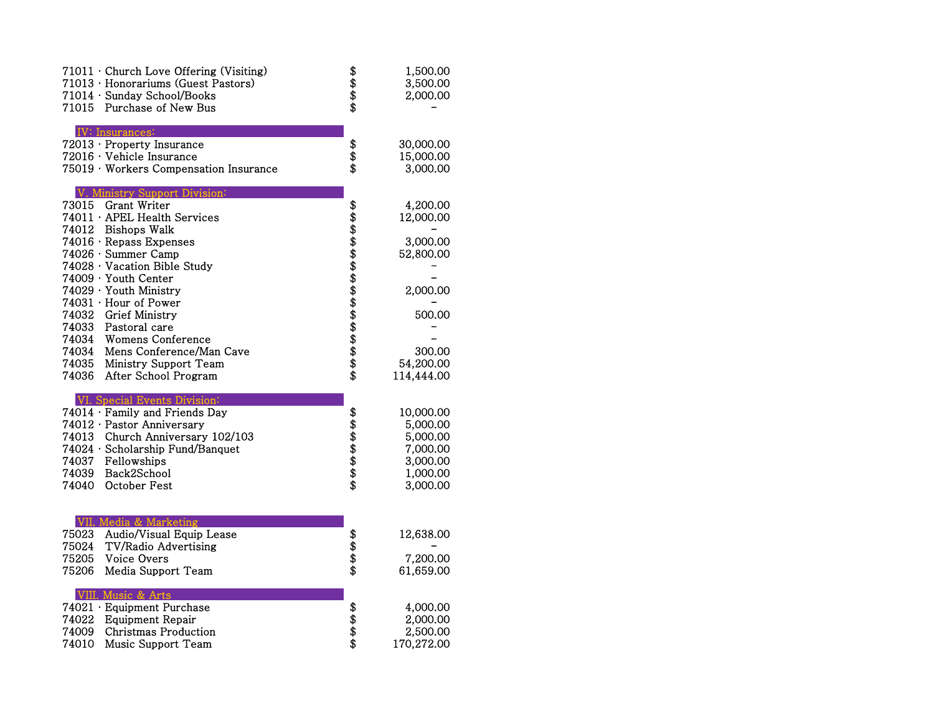| 71015 | $71011 \cdot$ Church Love Offering (Visiting)<br>71013 · Honorariums (Guest Pastors)<br>71014 · Sunday School/Books<br>Purchase of New Bus | 8888           | 1,500.00<br>3,500.00<br>2,000.00 |
|-------|--------------------------------------------------------------------------------------------------------------------------------------------|----------------|----------------------------------|
|       | <b>IV:</b> Insurances:                                                                                                                     |                |                                  |
|       | 72013 · Property Insurance                                                                                                                 |                | 30,000.00                        |
|       | 72016 · Vehicle Insurance                                                                                                                  | \$<br>\$       | 15,000.00                        |
|       | 75019 · Workers Compensation Insurance                                                                                                     |                | 3,000.00                         |
|       | Ministry Support Division:                                                                                                                 |                |                                  |
| 73015 | Grant Writer                                                                                                                               |                | 4,200.00                         |
|       | 74011 · APEL Health Services                                                                                                               |                | 12,000.00                        |
| 74012 | <b>Bishops Walk</b>                                                                                                                        |                |                                  |
|       | 74016 · Repass Expenses                                                                                                                    |                | 3,000.00                         |
|       | 74026 · Summer Camp                                                                                                                        |                | 52,800.00                        |
|       | 74028 · Vacation Bible Study                                                                                                               |                |                                  |
|       | $74009 \cdot$ Youth Center<br>74029 · Youth Ministry                                                                                       |                | 2,000.00                         |
|       | 74031 · Hour of Power                                                                                                                      |                |                                  |
| 74032 | <b>Grief Ministry</b>                                                                                                                      |                | 500.00                           |
| 74033 | Pastoral care                                                                                                                              |                |                                  |
| 74034 | <b>Womens Conference</b>                                                                                                                   |                |                                  |
| 74034 | Mens Conference/Man Cave                                                                                                                   |                | 300.00                           |
| 74035 | Ministry Support Team                                                                                                                      |                | 54,200.00                        |
| 74036 | After School Program                                                                                                                       |                | 114,444.00                       |
|       | VI. Special Events Division:                                                                                                               |                |                                  |
|       | 74014 · Family and Friends Day                                                                                                             |                | 10,000.00                        |
|       | 74012 · Pastor Anniversary                                                                                                                 |                | 5,000.00                         |
| 74013 | Church Anniversary 102/103                                                                                                                 | <b>8888888</b> | 5,000.00                         |
|       | 74024 · Scholarship Fund/Banquet                                                                                                           |                | 7,000.00                         |
| 74037 | Fellowships                                                                                                                                |                | 3,000.00                         |
| 74039 | Back2School                                                                                                                                |                | 1,000.00                         |
| 74040 | October Fest                                                                                                                               |                | 3,000.00                         |
|       |                                                                                                                                            |                |                                  |
|       | VII. Media & Marketing                                                                                                                     |                |                                  |
| 75023 | Audio/Visual Equip Lease                                                                                                                   |                | 12,638.00                        |
| 75024 | <b>TV/Radio Advertising</b>                                                                                                                | \$\$\$         |                                  |
| 75205 | Voice Overs                                                                                                                                |                | 7,200.00                         |
| 75206 | Media Support Team                                                                                                                         |                | 61,659.00                        |
|       | VIII. Music & Arts                                                                                                                         |                |                                  |
|       | 74021 · Equipment Purchase                                                                                                                 |                | 4,000.00                         |
| 74022 | <b>Equipment Repair</b>                                                                                                                    | \$\$\$\$       | 2,000.00                         |
| 74009 | Christmas Production                                                                                                                       |                | 2,500.00                         |
| 74010 | Music Support Team                                                                                                                         |                | 170,272.00                       |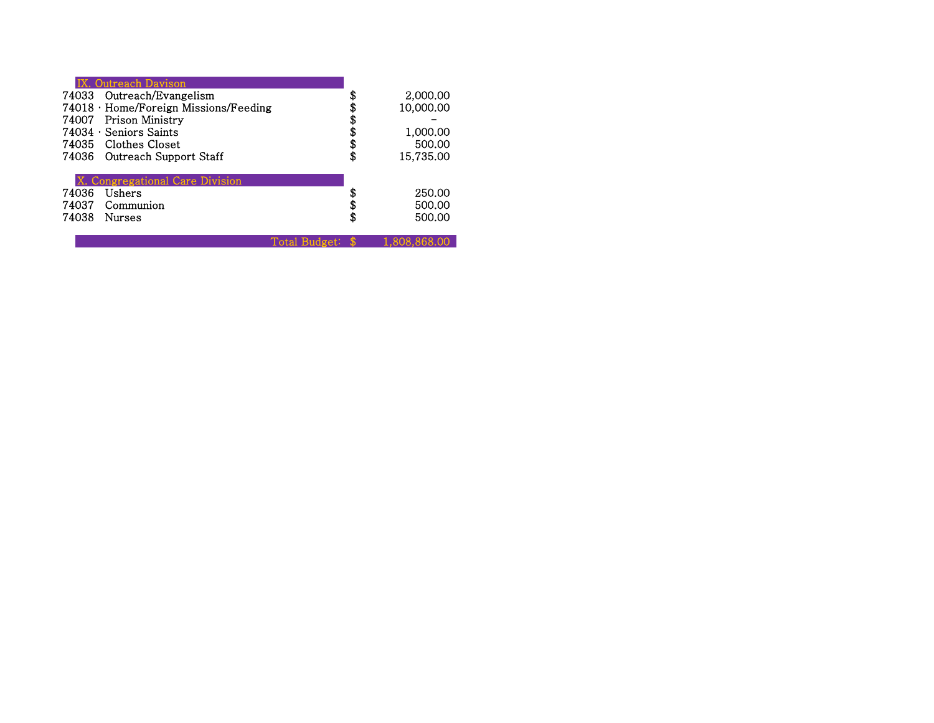|       | <b>Outreach Davison</b><br>74033 Outreach/Evangelism |                  | 2,000.00        |  |
|-------|------------------------------------------------------|------------------|-----------------|--|
|       | $74018 \cdot$ Home/Foreign Missions/Feeding          |                  | 10,000.00       |  |
|       | 74007 Prison Ministry                                |                  | \$              |  |
|       | $74034 \cdot$ Seniors Saints                         |                  | 1,000.00        |  |
|       | 74035 Clothes Closet                                 |                  | \$<br>500.00    |  |
|       | 74036 Outreach Support Staff                         |                  | \$<br>15,735.00 |  |
|       | Congregational Care Division                         |                  |                 |  |
| 74036 | Ushers                                               |                  | 250.00          |  |
| 74037 | Communion                                            |                  | \$<br>500.00    |  |
| 74038 | <b>Nurses</b>                                        |                  | \$<br>500.00    |  |
|       |                                                      | Total Budget: \$ | 1.808.868.00    |  |
|       |                                                      |                  |                 |  |